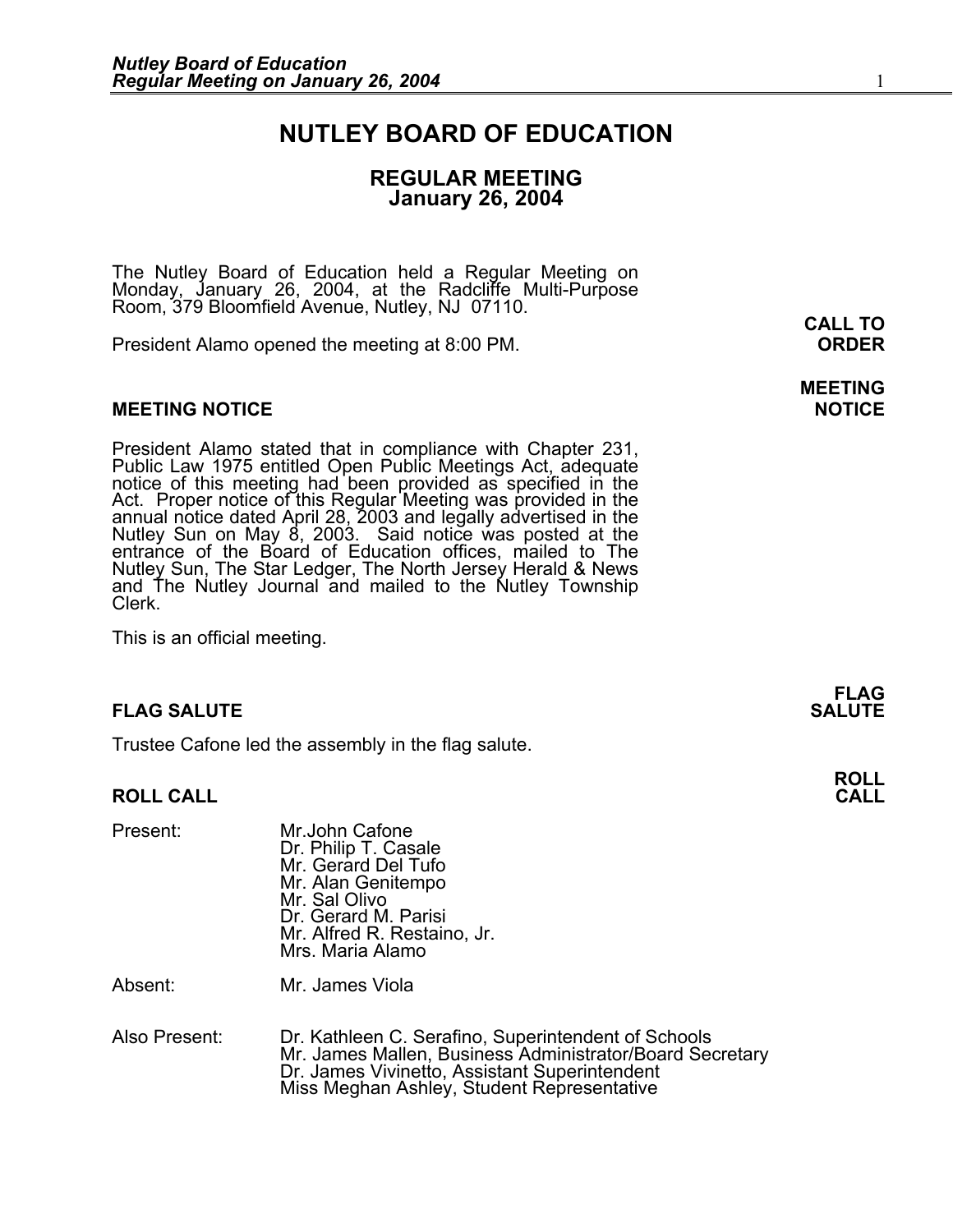## **NUTLEY BOARD OF EDUCATION**

## **REGULAR MEETING January 26, 2004**

The Nutley Board of Education held a Regular Meeting on Monday, January 26, 2004, at the Radcliffe Multi-Purpose Room, 379 Bloomfield Avenue, Nutley, NJ 07110.

President Alamo opened the meeting at 8:00 PM. **ORDER**

## **MEETING NOTICE NOTICE AND RESERVE ASSESS**

President Alamo stated that in compliance with Chapter 231,<br>Public Law 1975 entitled Open Public Meetings Act, adequate<br>notice of this meeting had been provided as specified in the<br>Act. Proper notice of this Regular Meetin annual notice dated April 28, 2003 and legally advertised in the<br>Nutley Sun on May 8, 2003. Said notice was posted at the<br>entrance of the Board of Education offices, mailed to The Nutley Sun, The Star Ledger, The North Jersey Herald & News and The Nutley Journal and mailed to the Nutley Township Clerk.

This is an official meeting.

## **FLAG SALUTE SALUTE SALUTE**

Trustee Cafone led the assembly in the flag salute.

## **ROLL CALL CALL**

| Present: | Mr.John Cafone                              |
|----------|---------------------------------------------|
|          | Dr. Philip T. Casale<br>Mr. Gerard Del Tufo |
|          |                                             |
|          | Mr. Alan Genitempo                          |
|          | Mr. Sal Olivo                               |
|          | Dr. Gerard M. Parisi                        |
|          | Mr. Alfred R. Restaino, Jr.                 |
|          | Mrs. Maria Alamo                            |
|          |                                             |

Absent: Mr. James Viola

Also Present: Dr. Kathleen C. Serafino, Superintendent of Schools Mr. James Mallen, Business Administrator/Board Secretary Dr. James Vivinetto, Assistant Superintendent Miss Meghan Ashley, Student Representative

**CALL TO** 

**MEETING** 

**FLAG** 

**ROLL**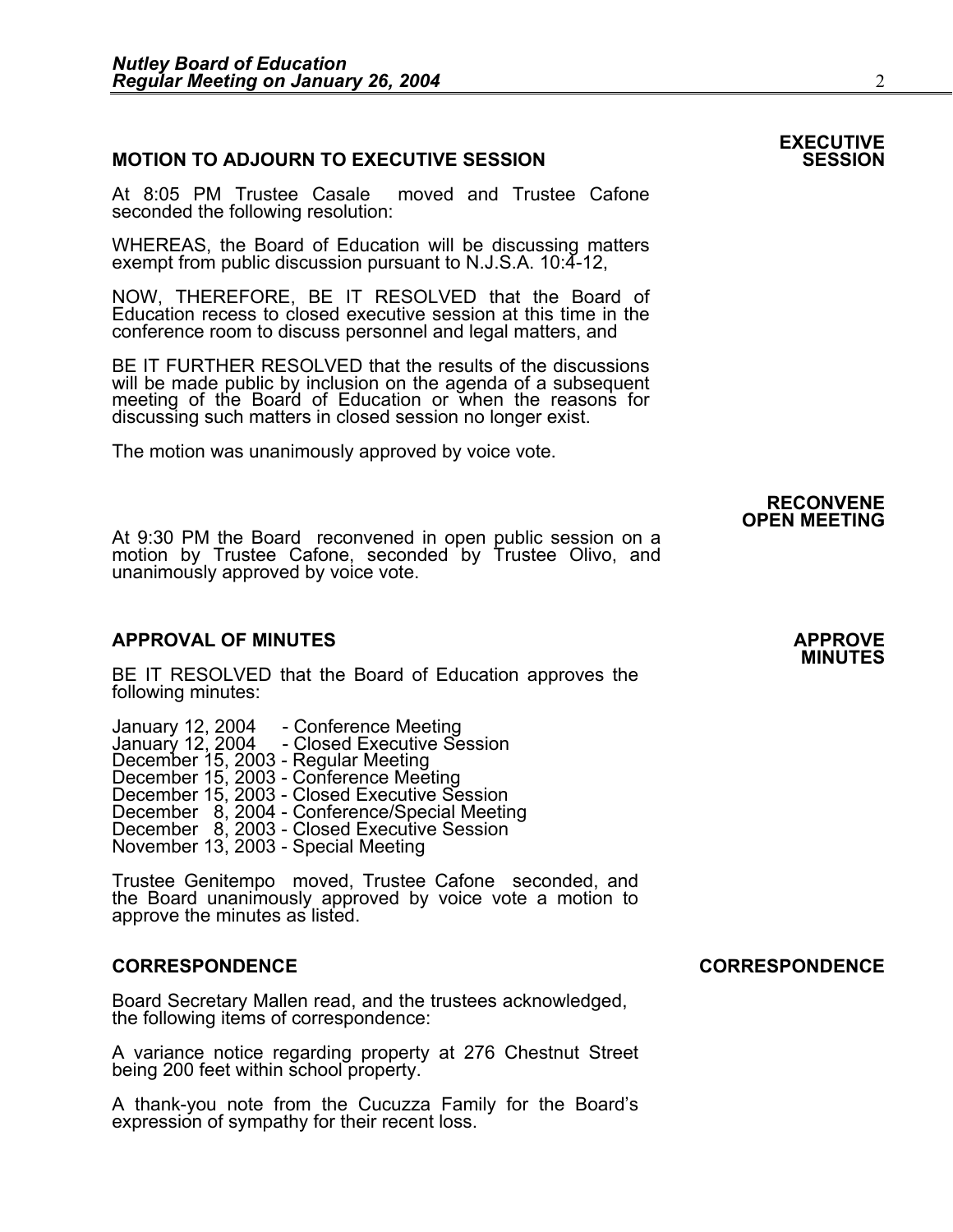## **MOTION TO ADJOURN TO EXECUTIVE SESSION**

At 8:05 PM Trustee Casale moved and Trustee Cafone seconded the following resolution:

WHEREAS, the Board of Education will be discussing matters exempt from public discussion pursuant to N.J.S.A. 10:4-12,

NOW, THEREFORE, BE IT RESOLVED that the Board of Education recess to closed executive session at this time in the conference room to discuss personnel and legal matters, and

BE IT FURTHER RESOLVED that the results of the discussions will be made public by inclusion on the agenda of a subsequent meeting of the Board of Education or when the reasons for discussing such matters in closed session no longer exist.

The motion was unanimously approved by voice vote.

# **RECONVENE OPEN MEETING**

At 9:30 PM the Board reconvened in open public session on a motion by Trustee Cafone, seconded by Trustee Olivo, and unanimously approved by voice vote.

## **APPROVAL OF MINUTES APPROVE**

BE IT RESOLVED that the Board of Education approves the following minutes:

 January 12, 2004 - Conference Meeting January 12, 2004 - Closed Executive Session December 15, 2003 - Regular Meeting<br>December 15, 2003 - Conference Meeting<br>December 15, 2003 - Closed Executive Session December 8, 2004 - Conference/Special Meeting<br>December 8, 2003 - Closed Executive Session<br>November 13, 2003 - Special Meeting

> Trustee Genitempo moved, Trustee Cafone seconded, and the Board unanimously approved by voice vote a motion to approve the minutes as listed.

## **CORRESPONDENCE CORRESPONDENCE**

Board Secretary Mallen read, and the trustees acknowledged, the following items of correspondence:

A variance notice regarding property at 276 Chestnut Street being 200 feet within school property.

A thank-you note from the Cucuzza Family for the Board's expression of sympathy for their recent loss.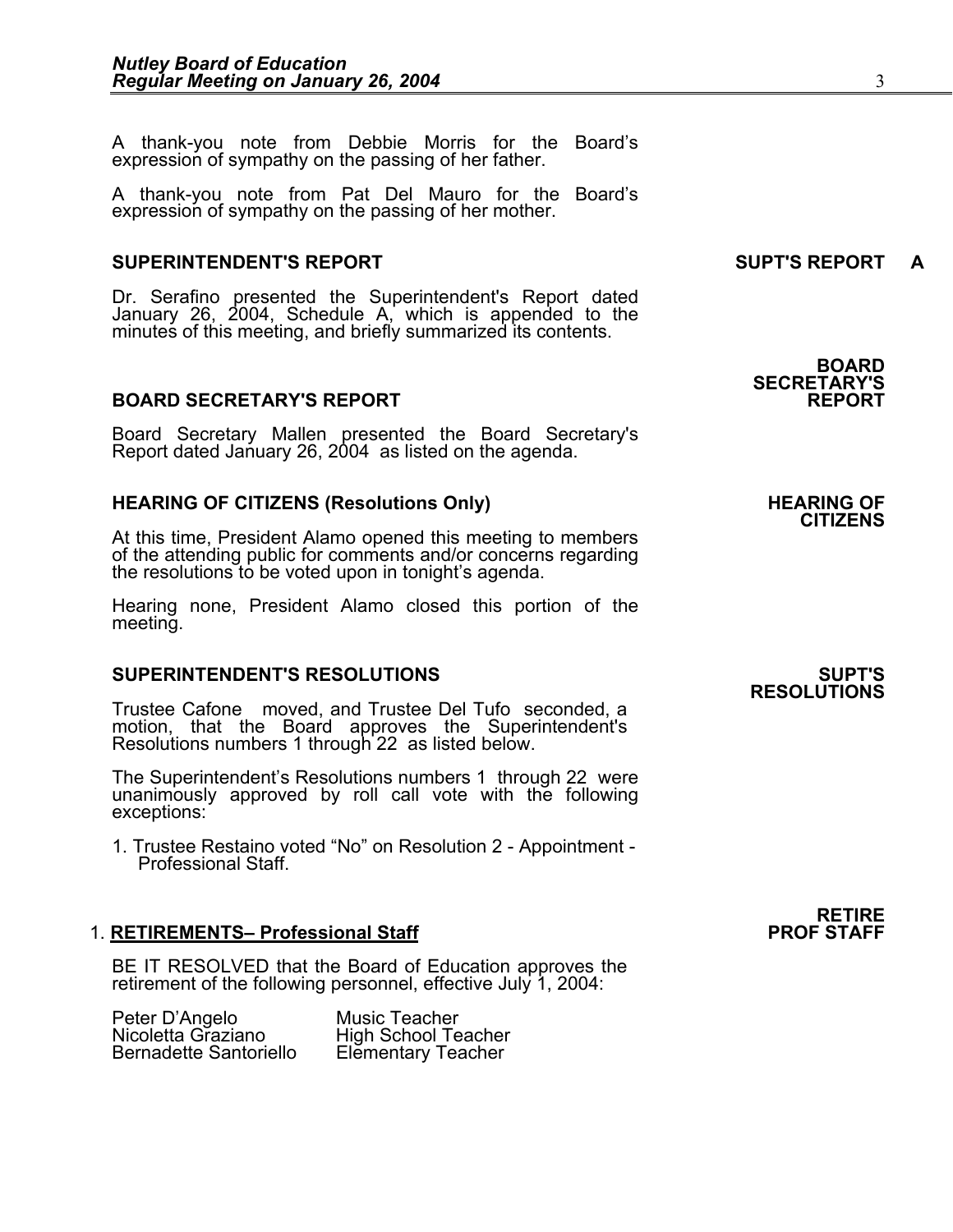A thank-you note from Debbie Morris for the Board's expression of sympathy on the passing of her father.

A thank-you note from Pat Del Mauro for the Board's expression of sympathy on the passing of her mother.

## **SUPERINTENDENT'S REPORT SUPT'S REPORT A**

Dr. Serafino presented the Superintendent's Report dated January 26, 2004, Schedule A, which is appended to the minutes of this meeting, and briefly summarized its contents.

## **BOARD SECRETARY'S REPORT**

Board Secretary Mallen presented the Board Secretary's Report dated January 26, 2004 as listed on the agenda.

## HEARING OF CITIZENS (Resolutions Only) **HEARING OF SEARING** OF

At this time, President Alamo opened this meeting to members of the attending public for comments and/or concerns regarding the resolutions to be voted upon in tonight's agenda.

Hearing none, President Alamo closed this portion of the meeting.

## **SUPERINTENDENT'S RESOLUTIONS SUPT'S**

Trustee Cafone moved, and Trustee Del Tufo seconded, a motion, that the Board approves the Superintendent's Resolutions numbers 1 through 22 as listed below.

The Superintendent's Resolutions numbers 1 through 22 were unanimously approved by roll call vote with the following exceptions:

1. Trustee Restaino voted "No" on Resolution 2 - Appointment - Professional Staff.

## 1. **RETIREMENTS- Professional Staff**

BE IT RESOLVED that the Board of Education approves the retirement of the following personnel, effective July 1, 2004:

| Peter D'Angelo                | Music Teacher              |
|-------------------------------|----------------------------|
| Nicoletta Graziano            | <b>High School Teacher</b> |
| <b>Bernadette Santoriello</b> | <b>Elementary Teacher</b>  |

**BOARD SECRETARY'S** 

# **CITIZENS**

**RESOLUTIONS**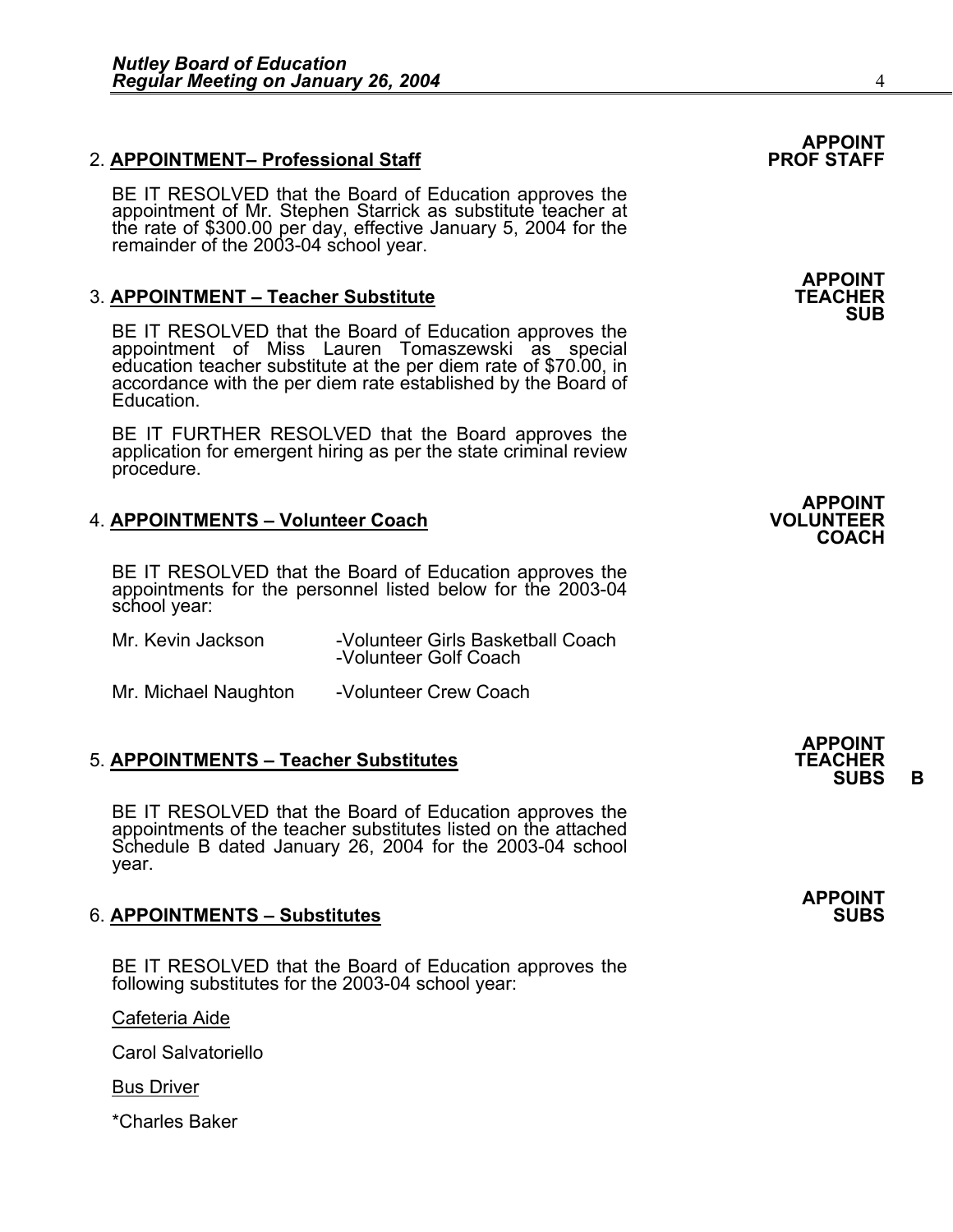## 2. **APPOINTMENT– Professional Staff**

BE IT RESOLVED that the Board of Education approves the appointment of Mr. Stephen Starrick as substitute teacher at the rate of \$300.00 per day, effective January 5, 2004 for the remainder of the 2003-04 school year.

## **3. APPOINTMENT – Teacher Substitute**

BE IT RESOLVED that the Board of Education approves the appointment of Miss Lauren Tomaszewski as special education teacher substitute at the per diem rate of \$70.00, in accordance with the per diem rate established by the Board of Education.

BE IT FURTHER RESOLVED that the Board approves the application for emergent hiring as per the state criminal review procedure.

## **4. APPOINTMENTS – Volunteer Coach**

BE IT RESOLVED that the Board of Education approves the appointments for the personnel listed below for the 2003-04 school year:

| Mr. Kevin Jackson | -Volunteer Girls Basketball Coach<br>-Volunteer Golf Coach |
|-------------------|------------------------------------------------------------|
|                   |                                                            |

Mr. Michael Naughton -Volunteer Crew Coach

## **5. APPOINTMENTS – Teacher Substitutes**

BE IT RESOLVED that the Board of Education approves the appointments of the teacher substitutes listed on the attached Schedule B dated January 26, 2004 for the 2003-04 school year.

## **6. APPOINTMENTS - Substitutes**

BE IT RESOLVED that the Board of Education approves the following substitutes for the 2003-04 school year:

Cafeteria Aide

Carol Salvatoriello

Bus Driver

\*Charles Baker





**APPOINT SUBS B** 

**APPOINT**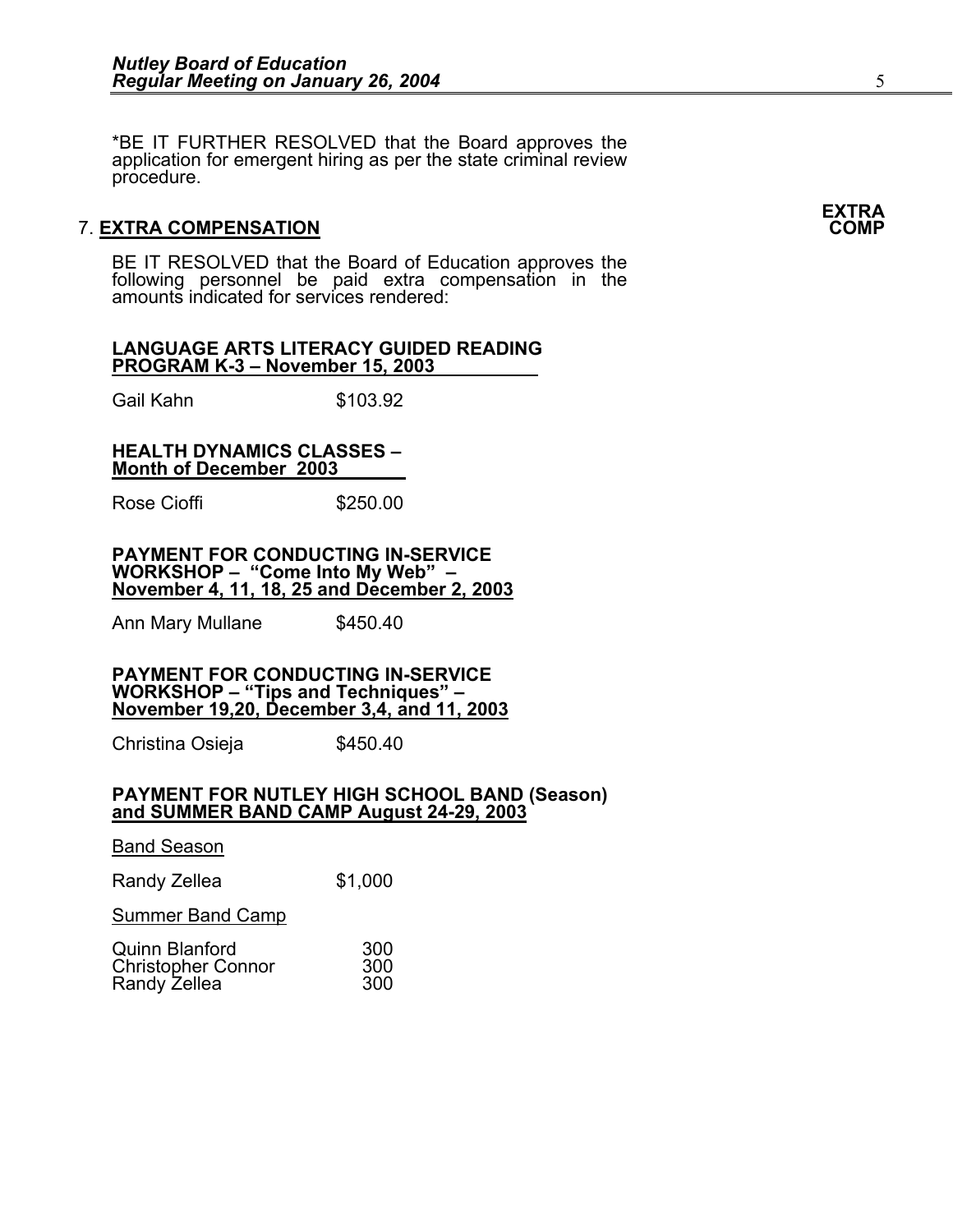\*BE IT FURTHER RESOLVED that the Board approves the application for emergent hiring as per the state criminal review procedure.

## **7. EXTRA COMPENSATION**

BE IT RESOLVED that the Board of Education approves the following personnel be paid extra compensation in the amounts indicated for services rendered:

### **LANGUAGE ARTS LITERACY GUIDED READING PROGRAM K-3 – November 15, 2003**

Gail Kahn \$103.92

### **HEALTH DYNAMICS CLASSES – Month of December 2003**

Rose Cioffi **\$250.00** 

### **PAYMENT FOR CONDUCTING IN-SERVICE WORKSHOP – "Come Into My Web" – November 4, 11, 18, 25 and December 2, 2003**

Ann Mary Mullane \$450.40

**PAYMENT FOR CONDUCTING IN-SERVICE WORKSHOP – "Tips and Techniques" – November 19,20, December 3,4, and 11, 2003**

Christina Osieja  $$450.40$ 

## **PAYMENT FOR NUTLEY HIGH SCHOOL BAND (Season) and SUMMER BAND CAMP August 24-29, 2003**

**Band Season** Randy Zellea  $$1,000$ Summer Band Camp Quinn Blanford 300

| <b>Christopher Connor</b> | 300 |
|---------------------------|-----|
| Randy Zellea              | 300 |

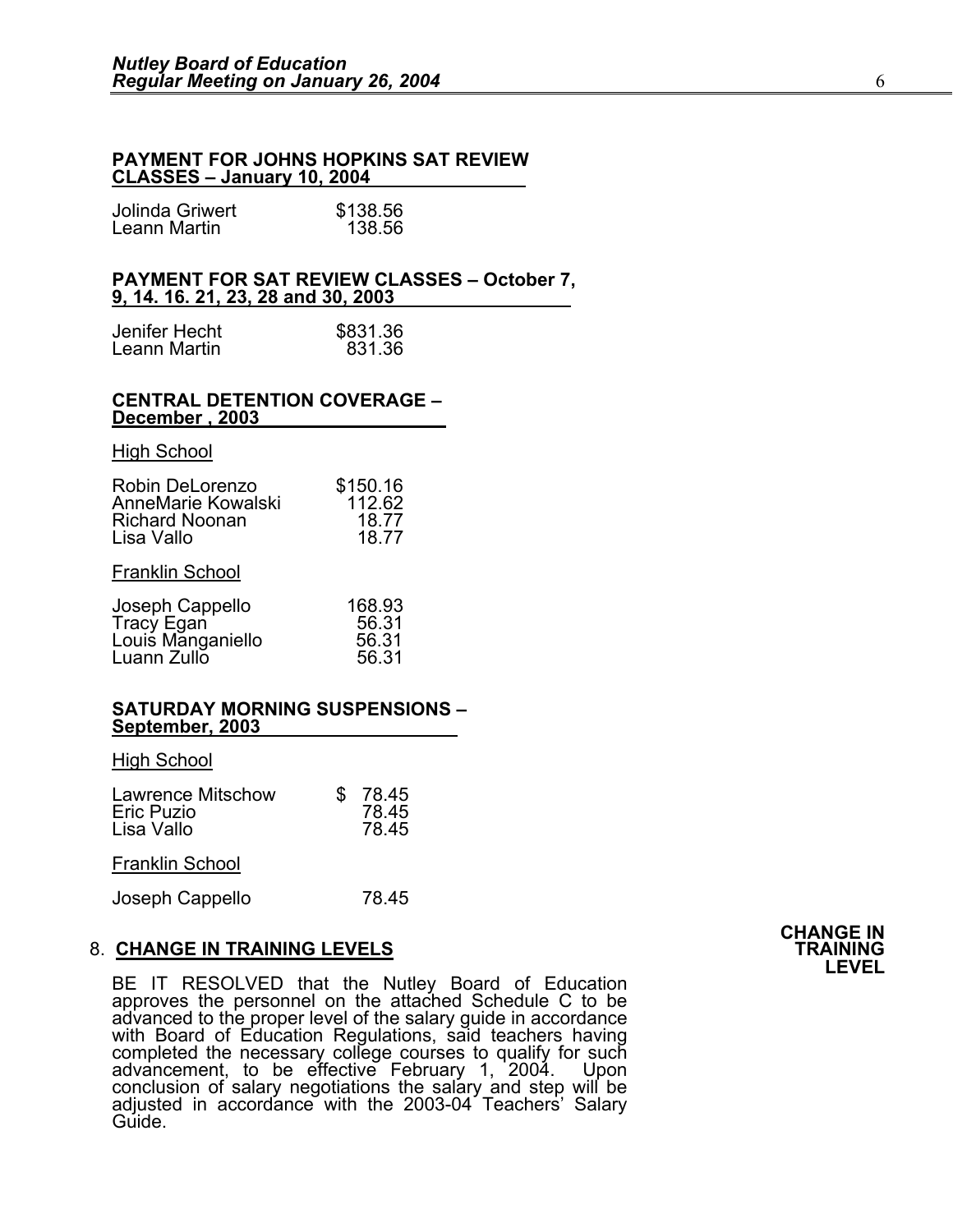## **PAYMENT FOR JOHNS HOPKINS SAT REVIEW CLASSES – January 10, 2004**

| Jolinda Griwert | \$138.56 |
|-----------------|----------|
| Leann Martin    | 138.56   |

### **PAYMENT FOR SAT REVIEW CLASSES – October 7, 9, 14. 16. 21, 23, 28 and 30, 2003**

| Jenifer Hecht | \$831.36 |
|---------------|----------|
| Leann Martin  | 831.36   |

#### **CENTRAL DETENTION COVERAGE – December , 2003**

#### **High School**

| Robin DeLorenzo       | \$150.16 |
|-----------------------|----------|
| AnneMarie Kowalski    | 112.62   |
| <b>Richard Noonan</b> | 18.77    |
| Lisa Vallo            | 18.77    |
| Frontin Cohool        |          |

#### **Franklin School**

| Joseph Cappello   | 168.93 |
|-------------------|--------|
| Tracy Egan        | 56.31  |
| Louis Manganiello | 56.31  |
| Luann Zullo       | 56.31  |

### **SATURDAY MORNING SUSPENSIONS – September, 2003**

**High School** 

| <b>Lawrence Mitschow</b> | 78.45 |
|--------------------------|-------|
| <b>Eric Puzio</b>        | 78.45 |
| Lisa Vallo               | 78.45 |

Franklin School

Joseph Cappello 78.45

## 8. CHANGE IN TRAINING LEVELS<br>B. CHANGE IN TRAINING LEVELS 8. **CHANGE IN TRAINING LEVELS TRAINING LEVEL**

BE IT RESOLVED that the Nutley Board of Education approves the personnel on the attached Schedule C to be advanced to the proper level of the salary guide in accordance<br>with Board of Education Regulations, said teachers having<br>completed the necessary college courses to qualify for such<br>advancement, to be effective February 1, conclusion of salary negotiations the salary and step will be<br>adjusted in accordance with the 2003-04 Teachers' Salary<br>Guide.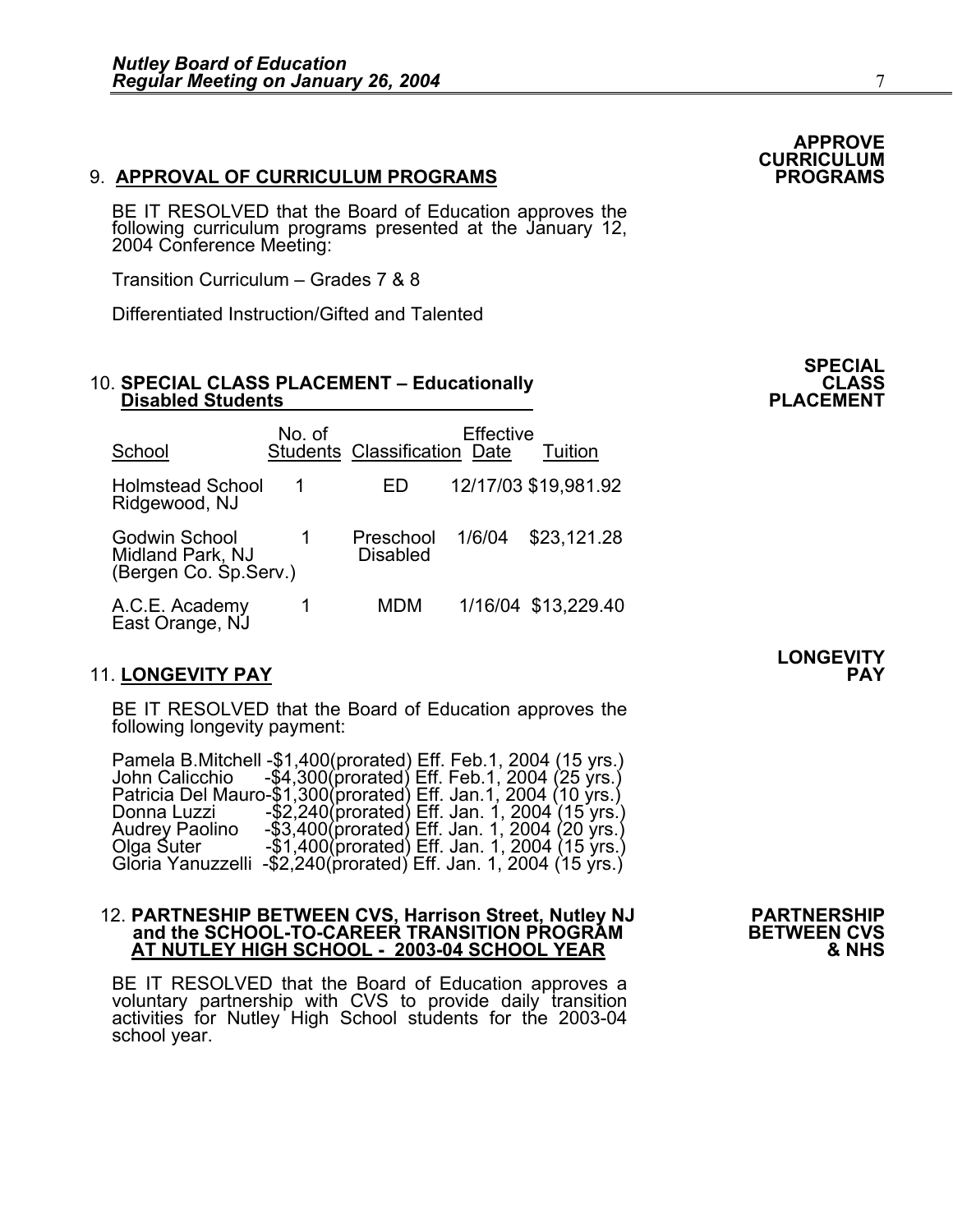## 9. **APPROVAL OF CURRICULUM PROGRAMS PROGRAMS**

BE IT RESOLVED that the Board of Education approves the following curriculum programs presented at the January 12, 2004 Conference Meeting:

Transition Curriculum – Grades 7 & 8

Differentiated Instruction/Gifted and Talented

## 10. SPECIAL CLASS PLACEMENT – Educationally **CLASS** CLASS<br>PLACEMENT – Disabled Students

| School                                                             | No. of | <b>Students Classification Date</b> | Effective | Tuition              |
|--------------------------------------------------------------------|--------|-------------------------------------|-----------|----------------------|
| <b>Holmstead School</b><br>Ridgewood, NJ                           | 1      | ED                                  |           | 12/17/03 \$19,981.92 |
| <b>Godwin School</b><br>Midland Park, NJ<br>(Bergen Co. Sp. Serv.) |        | Preschool<br><b>Disabled</b>        | 1/6/04    | \$23,121.28          |
| A.C.E. Academy<br>East Orange, NJ                                  |        | MDM                                 |           | 1/16/04 \$13,229.40  |

## 11. **LONGEVITY PAY PAY**

BE IT RESOLVED that the Board of Education approves the following longevity payment:

Pamela B.Mitchell -\$1,400(prorated) Eff. Feb.1, 2004 (15 yrs.)<br>John Calicchio -\$4,300(prorated) Eff. Feb.1, 2004 (25 yrs.)<br>Patricia Del Mauro-\$1,300(prorated) Eff. Jan.1, 2004 (10 yrs.)<br>Donna Luzzi -\$2,240(prorated) Eff. J

## 12. PARTNESHIP BETWEEN CVS, Harrison Street, Nutley NJ PARTNERSHIP and the SCHOOL-TO-CAREER TRANSITION PROGRAM **AT NUTLEY HIGH SCHOOL - 2003-04 SCHOOL YEAR 6 8 NHS**

BE IT RESOLVED that the Board of Education approves a voluntary partnership with CVS to provide daily transition activities for Nutley High School students for the 2003-04 school year.

## **APPROVE CURRICULUM**

**SPECIAL** 

**LONGEVITY**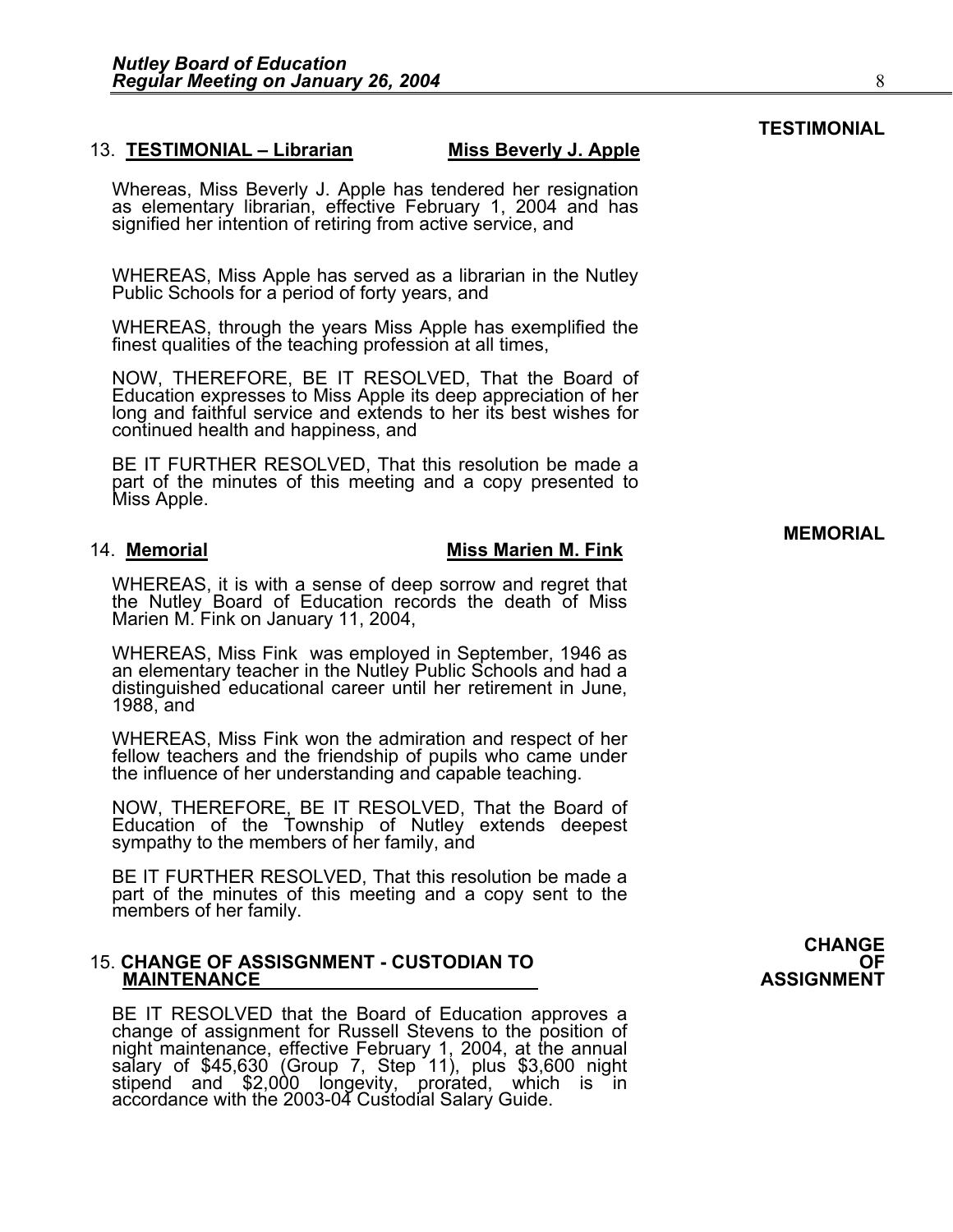### 13. **TESTIMONIAL – Librarian Miss Beverly J. Apple**

Whereas, Miss Beverly J. Apple has tendered her resignation as elementary librarian, effective February 1, 2004 and has signified her intention of retiring from active service, and

WHEREAS, Miss Apple has served as a librarian in the Nutley Public Schools for a period of forty years, and

WHEREAS, through the years Miss Apple has exemplified the finest qualities of the teaching profession at all times,

NOW, THEREFORE, BE IT RESOLVED, That the Board of Education expresses to Miss Apple its deep appreciation of her long and faithful service and extends to her its best wishes for continued health and happiness, and

BE IT FURTHER RESOLVED, That this resolution be made a part of the minutes of this meeting and a copy presented to Miss Apple.

#### 14. Memorial **Miss Marien M. Fink**

WHEREAS, it is with a sense of deep sorrow and regret that the Nutley Board of Education records the death of Miss Marien M. Fink on January 11, 2004,

WHEREAS, Miss Fink was employed in September, 1946 as an elementary teacher in the Nutley Public Schools and had a distinguished educational career until her retirement in June, 1988, and

WHEREAS, Miss Fink won the admiration and respect of her fellow teachers and the friendship of pupils who came under the influence of her understanding and capable teaching.

NOW, THEREFORE, BE IT RESOLVED, That the Board of Education of the Township of Nutley extends deepest sympathy to the members of her family, and

BE IT FURTHER RESOLVED, That this resolution be made a part of the minutes of this meeting and a copy sent to the members of her family.

## 15. **CHANGE OF ASSISGNMENT - CUSTODIAN TO OF MAINTENANCE ASSIGNMENT**

BE IT RESOLVED that the Board of Education approves a change of assignment for Russell Stevens to the position of night maintenance, effective February 1, 2004, at the annual salary of \$45,630 (Group 7, Step 11), plus \$3,600 night<br>stipend and \$2,000 longevity, prorated, which is in<br>accordance with the 2003-04 Custodial Salary Guide. **CHANGE** 

## **MEMORIAL**

**TESTIMONIAL**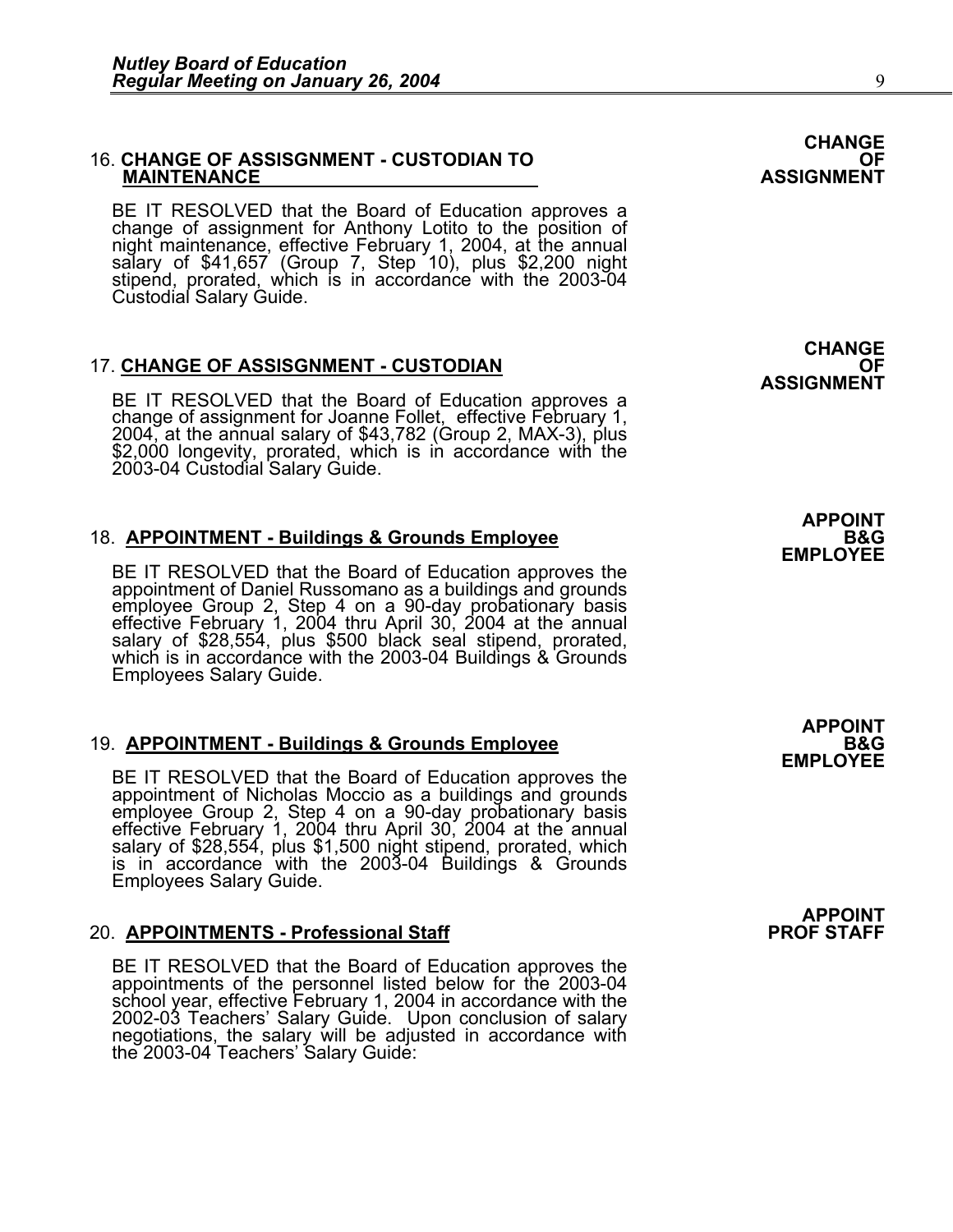## 16. **CHANGE OF ASSISGNMENT - CUSTODIAN TO OF MAINTENANCE ASSIGNMENT**

BE IT RESOLVED that the Board of Education approves a change of assignment for Anthony Lotito to the position of night maintenance, effective February 1, 2004, at the annual salary of \$41,657 (Group 7, Step 10), plus \$2,200 night<br>stipend, prorated, which is in accordance with the 2003-04 Custodial Salary Guide.

17. **CHANGE OF ASSISGNMENT - CUSTODIAN**<br>ASSIGNMENT BE IT RESOLVED that the Board of Education approves a change of assignment for Joanne Follet, effective February 1,<br>2004, at the annual salary of \$43,782 (Group 2, MAX-3), plus \$2,000 longevity, prorated, which is in accordance with the 2003-04 Custodial Salary Guide.

# 18. **APPOINTMENT - Buildings & Grounds Employee**<br>EMPLOYEE BE IT RESOLVED that the Board of Education approves the

appointment of Daniel Russomano as a buildings and grounds<br>employee Group 2, Step 4 on a 90-day probationary basis<br>effective February 1, 2004 thru April 30, 2004 at the annual<br>salary of \$28,554, plus \$500 black seal stipen which is in accordance with the 2003-04 Buildings & Grounds Employees Salary Guide.

19. **APPOINTMENT - Buildings & Grounds Employee**<br>EMPLOYEE BE IT RESOLVED that the Board of Education approves the appointment of Nicholas Moccio as a buildings and grounds<br>employee Group 2, Step 4 on a 90-day probationary basis<br>effective February 1, 2004 thru April 30, 2004 at the annual<br>salary of \$28,554, plus \$1,500 night stipend, p is in accordance with the 2003-04 Buildings & Grounds<br>Employees Salary Guide.

## 20. **APPOINTMENTS - Professional Staff PROF STAFF**

BE IT RESOLVED that the Board of Education approves the appointments of the personnel listed below for the 2003-04 school year, effective February 1, 2004 in accordance with the 2002-03 Teachers' Salary Guide. Upon conclusion of salary negotiations, the salary will be adjusted in accordance with negotiations, the salary will be adjusted in accordance with the 2003-04 Teachers' Salary Guide:

**CHANGE** 

**APPOINT** 

**APPOINT** 

**APPOINT** 

**CHANGE**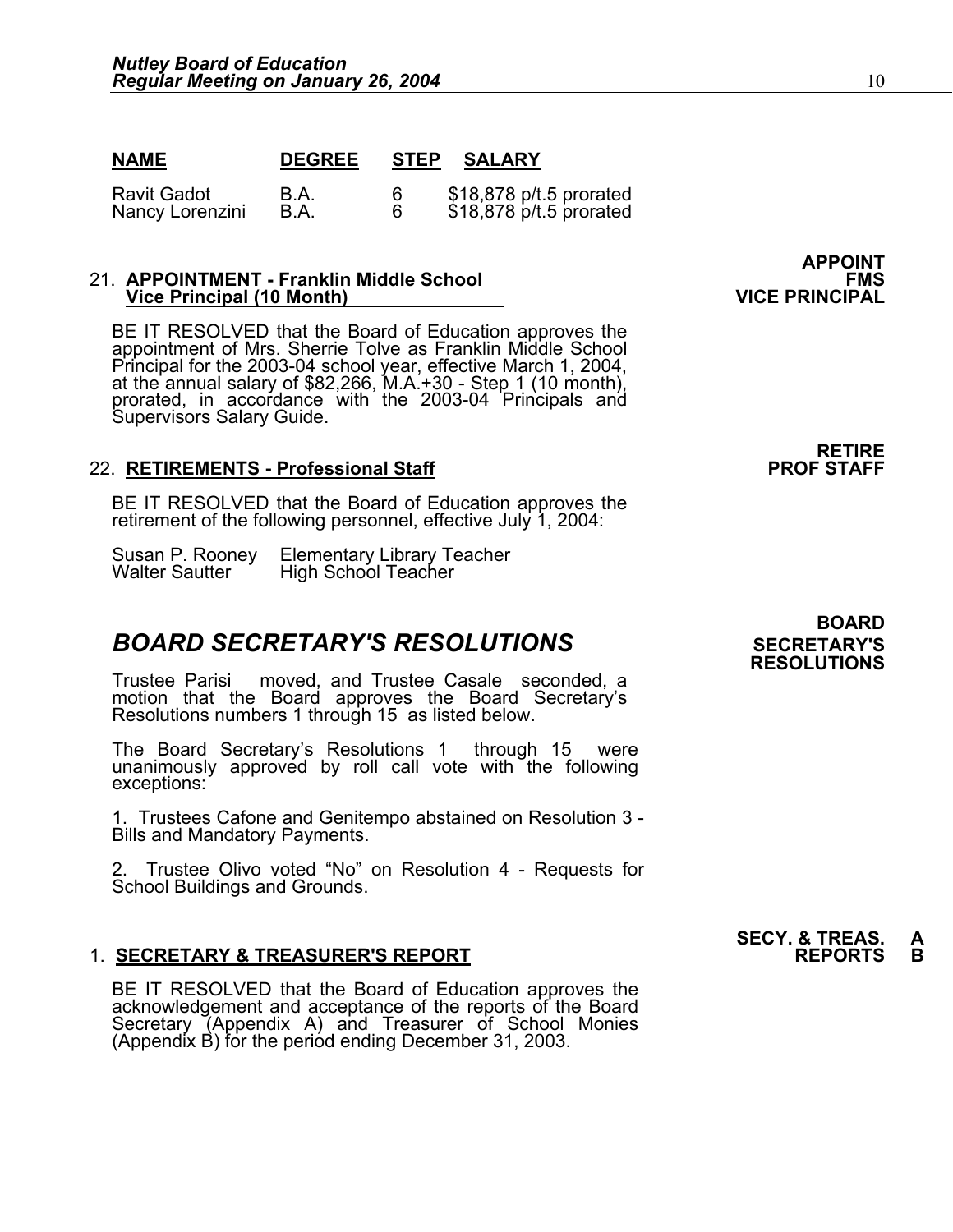| <b>NAME</b> | <b>DEGREE</b> | <b>STEP</b> | <b>SALARY</b> |
|-------------|---------------|-------------|---------------|
|             |               |             |               |

| <b>Ravit Gadot</b> | B.A. |                                                    |
|--------------------|------|----------------------------------------------------|
| Nancy Lorenzini    | B.A. | \$18,878 p/t.5 prorated<br>\$18,878 p/t.5 prorated |

# 21. **APPOINTMENT - Franklin Middle School FMS Vice Principal (10 Month) VICE PRINCIPAL**

BE IT RESOLVED that the Board of Education approves the appointment of Mrs. Sherrie Tolve as Franklin Middle School Principal for the 2003-04 school year, effective March 1, 2004, Principal for the annual salary of \$82,266, M.A.+30 - Step 1 (10 month), prorated, in accordance with the 2003-04 Principals and Supervisors Salary Guide.

## 22. **RETIREMENTS - Professional Staff**

BE IT RESOLVED that the Board of Education approves the retirement of the following personnel, effective July 1, 2004:

| Susan P. Rooney       | Elementary Library Teacher<br>High School Teacher |
|-----------------------|---------------------------------------------------|
| <b>Walter Sautter</b> |                                                   |

## **BOARD SECRETARY'S RESOLUTIONS** SECRETARY'S

Trustee Parisi moved, and Trustee Casale seconded, a motion that the Board approves the Board Secretary's Resolutions numbers 1 through 15 as listed below.

The Board Secretary's Resolutions 1 through 15 were unanimously approved by roll call vote withັthe following<br>exceptions:

1. Trustees Cafone and Genitempo abstained on Resolution 3 - Bills and Mandatory Payments.

2. Trustee Olivo voted "No" on Resolution 4 - Requests for School Buildings and Grounds.

## 1. **SECRETARY & TREASURER'S REPORT**

BE IT RESOLVED that the Board of Education approves the acknowledgement and acceptance of the reports of the Board acknowledgement and acceptance of the reports of the Board<br>Secretary (Appendix A) and Treasurer of School Monies (Appendix B) for the period ending December 31, 2003.

**APPOINT** 

# **RETIRE<br>PROF STAFF**

## **BOARD RESOLUTIONS**

**SECY. & TREAS.<br>REPORTS**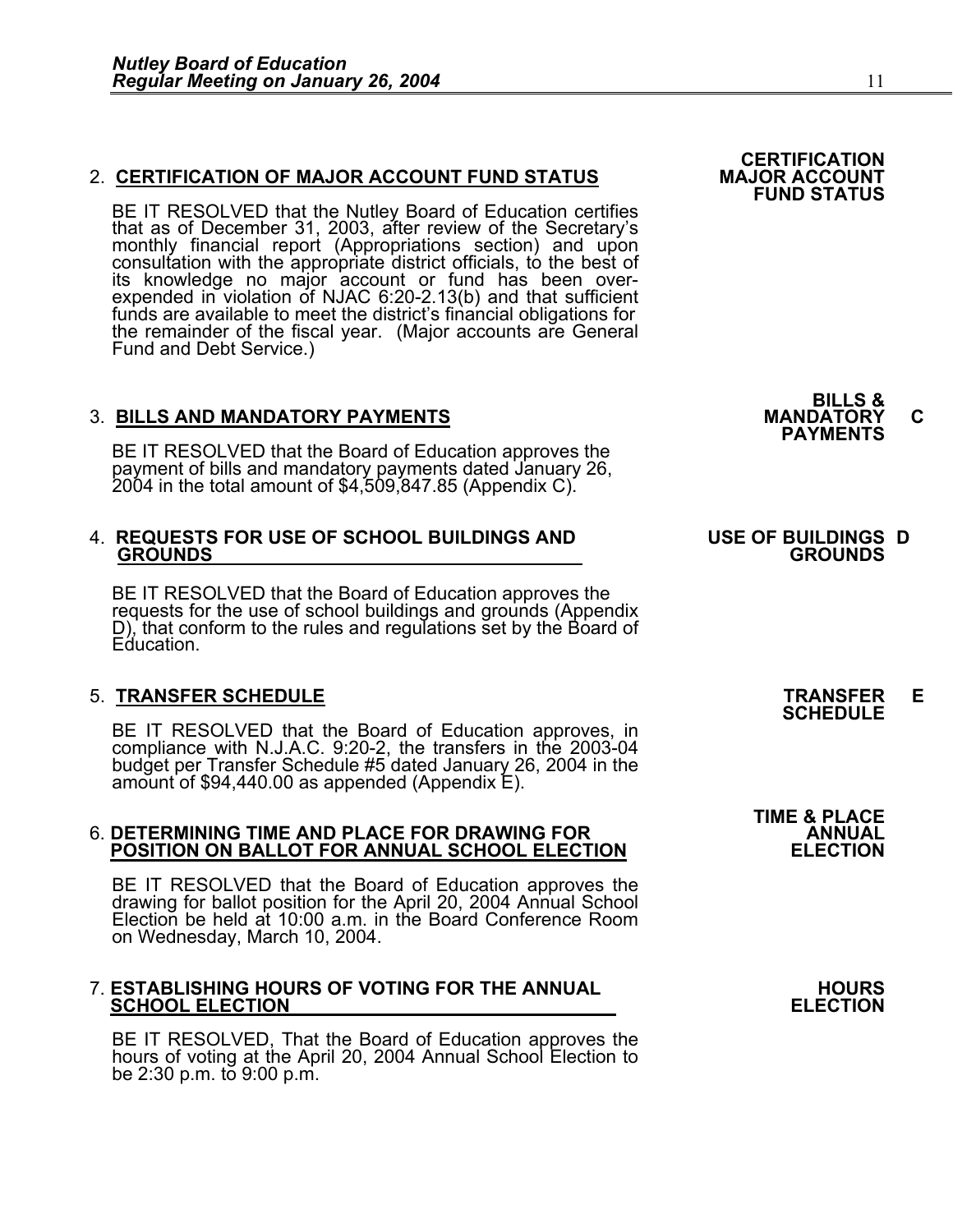## 2. **CERTIFICATION OF MAJOR ACCOUNT FUND STATUS**

BE IT RESOLVED that the Nutley Board of Education certifies that as of December 31, 2003, after review of the Secretary's monthly financial report (Appropriations section) and upon consultation with the appropriate district officials, to the best of its knowledge no major account or fund has been overexpended in violation of NJAC 6:20-2.13(b) and that sufficient funds are available to meet the district's financial obligations for the remainder of the fiscal year. (Major accounts are General Fund and Debt Service.)

3. BILLS AND MANDATORY PAYMENTS<br>BE IT RESOLVED that the Board of Education approves the **PAYMENTS** payment of bills and mandatory payments dated January 26, 2004 in the total amount of \$4,509,847.85 (Appendix C).

### 4. **REQUESTS FOR USE OF SCHOOL BUILDINGS AND USE OF BUILDINGS D GROUNDS GROUNDS**

BE IT RESOLVED that the Board of Education approves the requests for the use of school buildings and grounds (Appendix D), that conform to the rules and regulations set by the Board of Education.

## 5. **TRANSFER SCHEDULE TRANSFER E SCHEDULE**

BE IT RESOLVED that the Board of Education approves, in compliance with N.J.A.C. 9:20-2, the transfers in the 2003-04 budget per Transfer Schedule #5 dated January 26, 2004 in the<br>amount of \$94,440.00 as appended (Appendix E).

# 6. **DETERMINING TIME AND PLACE FOR DRAWING FOR ANNUAL POSITION ON BALLOT FOR ANNUAL SCHOOL ELECTION ELECTION**

BE IT RESOLVED that the Board of Education approves the drawing for ballot position for the April 20, 2004 Annual School Election be held at 10:00 a.m. in the Board Conference Room on Wednesday, March 10, 2004.

# 7. **ESTABLISHING HOURS OF VOTING FOR THE ANNUAL HOURS SCHOOL ELECTION ELECTION**

BE IT RESOLVED, That the Board of Education approves the hours of voting at the April 20, 2004 Annual School Election to be  $2:30$  p.m. to  $9:00$  p.m.

**BILLS &** 

**CERTIFICATION<br>MAJOR ACCOUNT** 

**FUND STATUS** 

**TIME & PLACE**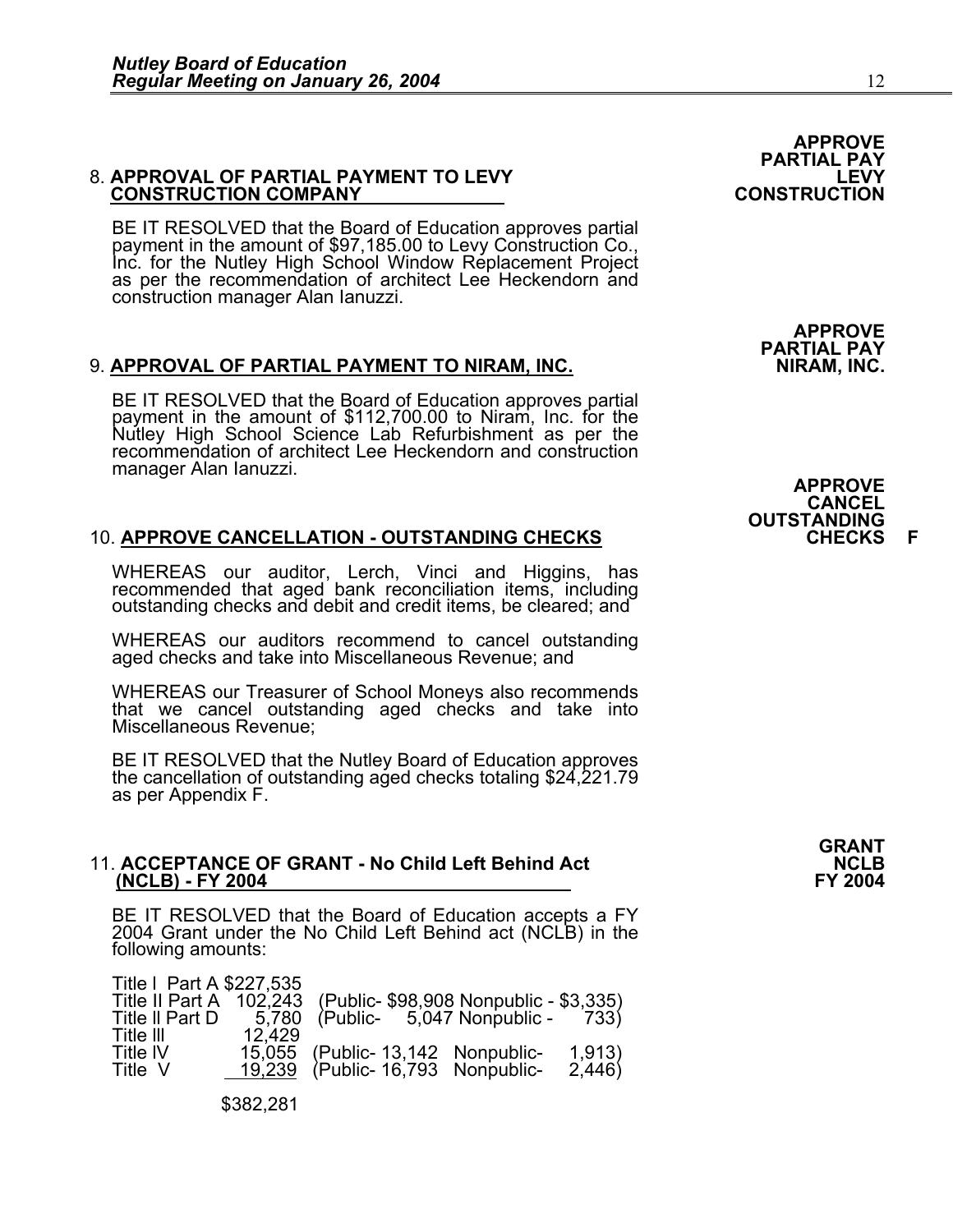# 8. **APPROVAL OF PARTIAL PAYMENT TO LEVY LEVY CONSTRUCTION COMPANY CONSTRUCTION**

BE IT RESOLVED that the Board of Education approves partial payment in the amount of \$97,185.00 to Levy Construction Co., Inc. for the Nutley High School Window Replacement Project as per the recommendation of architect Lee Heckendorn and construction manager Alan Ianuzzi.

## 9. **APPROVAL OF PARTIAL PAYMENT TO NIRAM, INC.**

BE IT RESOLVED that the Board of Education approves partial payment in the amount of \$112,700.00 to Niram, Inc. for the Nutley High School Science Lab Refurbishment as per the recommendation of architect Lee Heckendorn and construction manager Alan Ianuzzi.

## 10. **APPROVE CANCELLATION - OUTSTANDING CHECKS CHECKS F**

WHEREAS our auditor, Lerch, Vinci and Higgins, has recommended that aged bank reconciliation items, including outstanding checks and debit and credit items, be cleared; and

WHEREAS our auditors recommend to cancel outstanding aged checks and take into Miscellaneous Revenue; and

WHEREAS our Treasurer of School Moneys also recommends that we cancel outstanding aged checks and take into Miscellaneous Revenue;

BE IT RESOLVED that the Nutley Board of Education approves the cancellation of outstanding aged checks totaling \$24,221.79 as per Appendix F.

# 11. ACCEPTANCE OF GRANT - No Child Left Behind Act **NCLB** (NCLB) - FY 2004<br>FY 2004

BE IT RESOLVED that the Board of Education accepts a FY 2004 Grant under the No Child Left Behind act (NCLB) in the following amounts:

| Title   Part A \$227,535<br>Title II Part A<br>Title II Part D | 102,243<br>5,780 | (Public-\$98,908 Nonpublic - \$3,335)<br>$(Public- 5,047 Nonpublic- 733)$ |                 |
|----------------------------------------------------------------|------------------|---------------------------------------------------------------------------|-----------------|
| Title III<br>Title IV<br>Title V                               | 12.429           | 15,055 (Public-13,142 Nonpublic-<br>19,239 (Public-16,793 Nonpublic-      | 1,913)<br>2,446 |

\$382,281

**APPROVE PARTIAL PAY** 

**APPROVE PARTIAL PAY** 

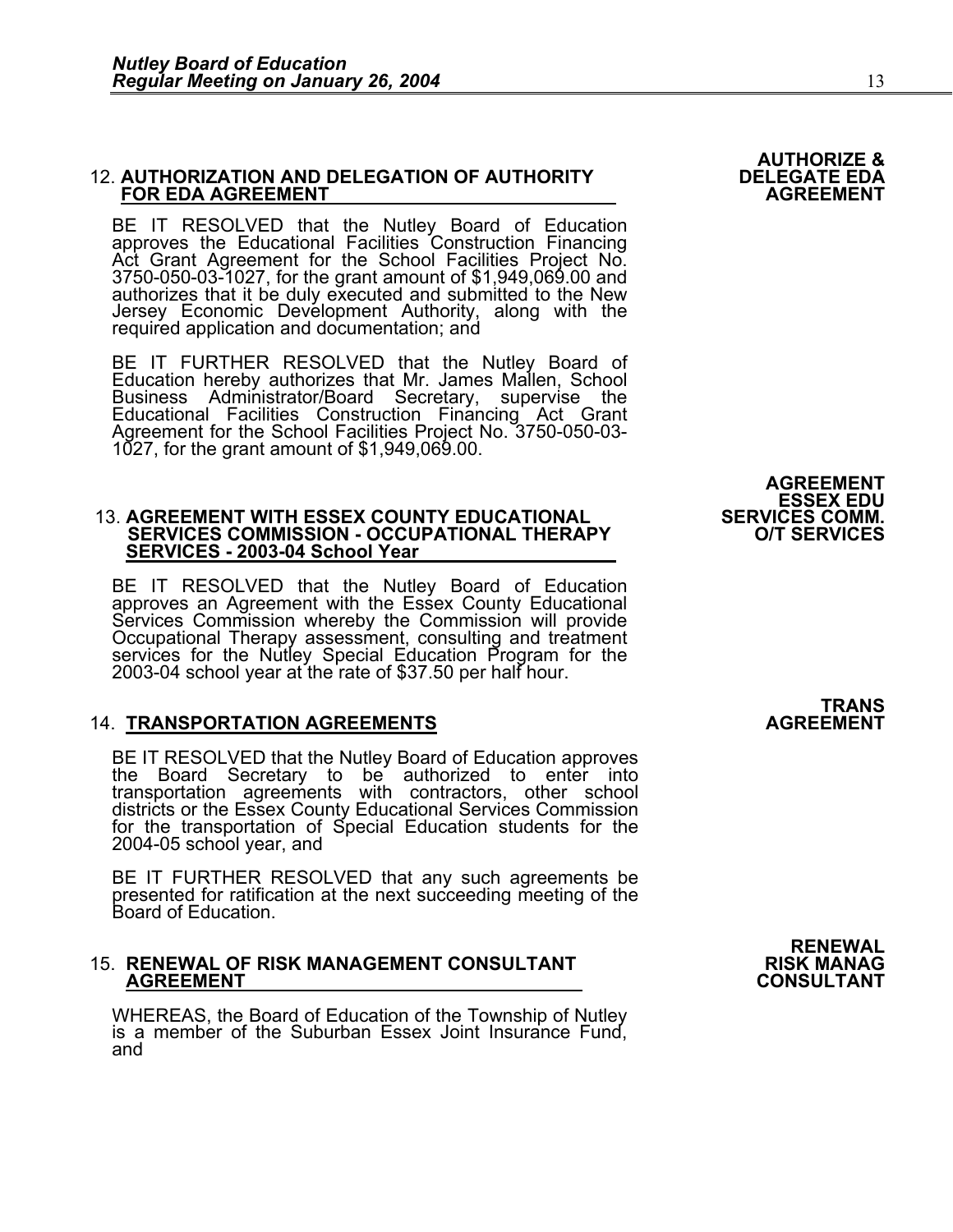## 12. **AUTHORIZATION AND DELEGATION OF AUTHORITY DELEGATE EDA FOR EDA AGREEMENT AGREEMENT**

BE IT RESOLVED that the Nutley Board of Education approves the Educational Facilities Construction Financing Act Grant Agreement for the School Facilities Project No. 3750-050-03-1027, for the grant amount of \$1,949,069.00 and authorizes that it be duly executed and submitted to the New Jersey Economic Development Authority, along with the required application and documentation; and

BE IT FURTHER RESOLVED that the Nutley Board of Education hereby authorizes that Mr. James Mallen, School Business Administrator/Board Secretary, supervise the Educational Facilities Construction Financing Act Grant Agreement for the School Facilities Project No. 3750-050-03- 1027, for the grant amount of \$1,949,069.00.

## 13. **AGREEMENT WITH ESSEX COUNTY EDUCATIONAL SERVICES COMM. SERVICES COMMISSION - OCCUPATIONAL THERAPY SERVICES - 2003-04 School Year**

BE IT RESOLVED that the Nutley Board of Education approves an Agreement with the Essex County Educational Services Commission whereby the Commission will provide Occupational Therapy assessment, consulting and treatment services for the Nutley Special Education Program for the 2003-04 school year at the rate of \$37.50 per half hour.

## 14. **TRANSPORTATION AGREEMENTS AGREEMENT**

BE IT RESOLVED that the Nutley Board of Education approves<br>the Board Secretary to be authorized to enter into transportation agreements with contractors, other school districts or the Essex County Educational Services Commission for the transportation of Special Education students for the 2004-05 school year, and

BE IT FURTHER RESOLVED that any such agreements be presented for ratification at the next succeeding meeting of the Board of Education.

# 15. **RENEWAL OF RISK MANAGEMENT CONSULTANT RISK MANAG AGREEMENT CONSULTANT**

WHEREAS, the Board of Education of the Township of Nutley is a member of the Suburban Essex Joint Insurance Fund, and

## **AGREEMENT ESSEX EDU<br>SERVICES COMM.**

**AUTHORIZE &** 

TRANS<br>AGREEMENT

**RENEWAL**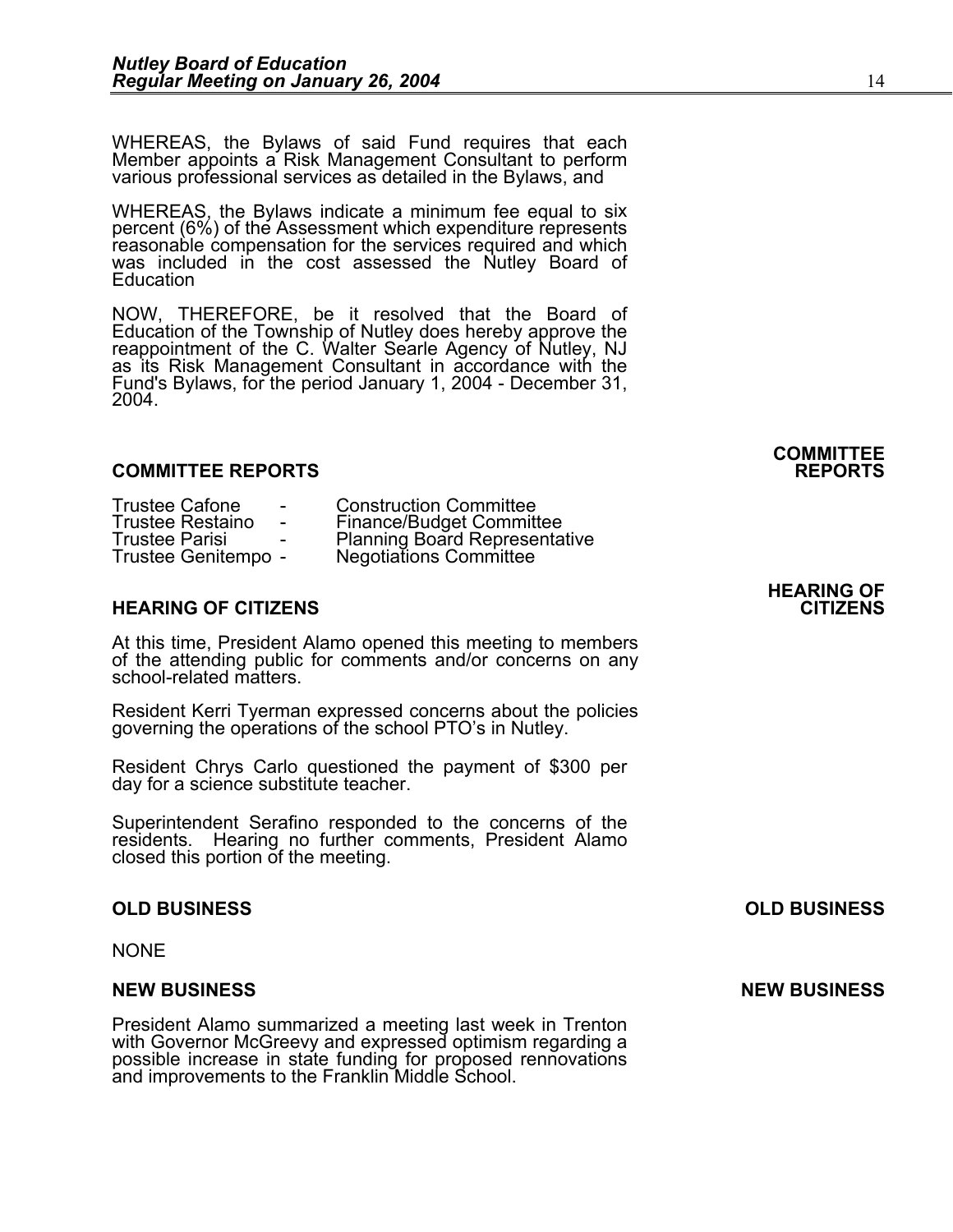WHEREAS, the Bylaws of said Fund requires that each Member appoints a Risk Management Consultant to perform<br>various professional services as detailed in the Bylaws, and

WHEREAS, the Bylaws indicate a minimum fee equal to six percent (6%) of the Assessment which expenditure represents<br>reasonable compensation for the services required and which reasonable compensation for the services required and which was included in the cost assessed the Nutley Board of Education

NOW, THEREFORE, be it resolved that the Board of Education of the Township of Nutley does hereby approve the reappointment of the C. Walter Searle Agency of Nutley, NJ as its Risk Management Consultant in accordance with the Fund's Bylaws, for the period January 1, 2004 - December 31, 2004.

## **COMMITTEE REPORTS REPORTS**

| <b>Trustee Cafone</b>   | $\overline{\phantom{a}}$ | <b>Construction Committee</b>        |
|-------------------------|--------------------------|--------------------------------------|
| <b>Trustee Restaino</b> | $\sim$                   | <b>Finance/Budget Committee</b>      |
| <b>Trustee Parisi</b>   |                          | <b>Planning Board Representative</b> |
| Trustee Genitempo -     |                          | <b>Negotiations Committee</b>        |

## **HEARING OF CITIZENS CITIZENS**

At this time, President Alamo opened this meeting to members of the attending public for comments and/or concerns on any school-related matters.

Resident Kerri Tyerman expressed concerns about the policies governing the operations of the school PTO's in Nutley.

Resident Chrys Carlo questioned the payment of \$300 per day for a science substitute teacher.

Superintendent Serafino responded to the concerns of the residents. Hearing no further comments, President Alamo closed this portion of the meeting.

NONE

#### **NEW BUSINESS NEW BUSINESS**

President Alamo summarized a meeting last week in Trenton with Governor McGreevy and expressed optimism regarding a possible increase in state funding for proposed rennovations and improvements to the Franklin Middle School.

**HEARING OF** 

**COMMITTEE** 

## **OLD BUSINESS OLD BUSINESS**